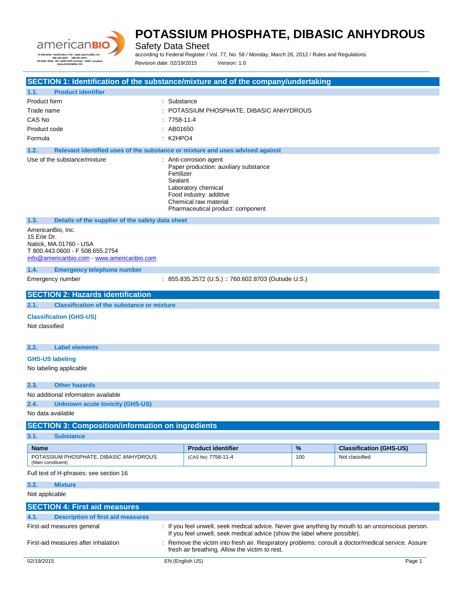

Safety Data Sheet

according to Federal Register / Vol. 77, No. 58 / Monday, March 26, 2012 / Rules and Regulations Revision date: 02/19/2015 Version: 1.0

| SECTION 1: Identification of the substance/mixture and of the company/undertaking                                                           |                                                                                                                                                                                                                                  |          |                                                  |
|---------------------------------------------------------------------------------------------------------------------------------------------|----------------------------------------------------------------------------------------------------------------------------------------------------------------------------------------------------------------------------------|----------|--------------------------------------------------|
| <b>Product identifier</b><br>1.1.                                                                                                           |                                                                                                                                                                                                                                  |          |                                                  |
| Product form                                                                                                                                | : Substance                                                                                                                                                                                                                      |          |                                                  |
| Trade name                                                                                                                                  | : POTASSIUM PHOSPHATE, DIBASIC ANHYDROUS                                                                                                                                                                                         |          |                                                  |
| CAS No                                                                                                                                      | $: 7758-11-4$                                                                                                                                                                                                                    |          |                                                  |
| Product code                                                                                                                                | : AB01650                                                                                                                                                                                                                        |          |                                                  |
| Formula                                                                                                                                     | $:$ K2HPO4                                                                                                                                                                                                                       |          |                                                  |
| 1.2.                                                                                                                                        | Relevant identified uses of the substance or mixture and uses advised against                                                                                                                                                    |          |                                                  |
| Use of the substance/mixture                                                                                                                | : Anti-corrosion agent<br>Paper production: auxiliary substance<br>Fertilizer<br>Sealant<br>Laboratory chemical<br>Food industry: additive<br>Chemical raw material<br>Pharmaceutical product: component                         |          |                                                  |
| 1.3.<br>Details of the supplier of the safety data sheet                                                                                    |                                                                                                                                                                                                                                  |          |                                                  |
| AmericanBio, Inc.<br>15 Erie Dr.<br>Natick, MA 01760 - USA<br>T 800.443.0600 - F 508.655.2754<br>info@americanbio.com - www.americanbio.com |                                                                                                                                                                                                                                  |          |                                                  |
| 1.4.<br><b>Emergency telephone number</b>                                                                                                   |                                                                                                                                                                                                                                  |          |                                                  |
| Emergency number                                                                                                                            | : 855.835.2572 (U.S.) :: 760.602.8703 (Outside U.S.)                                                                                                                                                                             |          |                                                  |
| <b>SECTION 2: Hazards identification</b>                                                                                                    |                                                                                                                                                                                                                                  |          |                                                  |
| 2.1.<br><b>Classification of the substance or mixture</b>                                                                                   |                                                                                                                                                                                                                                  |          |                                                  |
| <b>Classification (GHS-US)</b>                                                                                                              |                                                                                                                                                                                                                                  |          |                                                  |
| Not classified                                                                                                                              |                                                                                                                                                                                                                                  |          |                                                  |
|                                                                                                                                             |                                                                                                                                                                                                                                  |          |                                                  |
| 2.2.<br><b>Label elements</b>                                                                                                               |                                                                                                                                                                                                                                  |          |                                                  |
| <b>GHS-US labeling</b>                                                                                                                      |                                                                                                                                                                                                                                  |          |                                                  |
| No labeling applicable                                                                                                                      |                                                                                                                                                                                                                                  |          |                                                  |
|                                                                                                                                             |                                                                                                                                                                                                                                  |          |                                                  |
| 2.3.<br><b>Other hazards</b>                                                                                                                |                                                                                                                                                                                                                                  |          |                                                  |
| No additional information available<br>2.4.                                                                                                 |                                                                                                                                                                                                                                  |          |                                                  |
| <b>Unknown acute toxicity (GHS-US)</b><br>No data available                                                                                 |                                                                                                                                                                                                                                  |          |                                                  |
| <b>SECTION 3: Composition/information on ingredients</b>                                                                                    |                                                                                                                                                                                                                                  |          |                                                  |
| 3.1.<br><b>Substance</b>                                                                                                                    |                                                                                                                                                                                                                                  |          |                                                  |
|                                                                                                                                             |                                                                                                                                                                                                                                  |          |                                                  |
| <b>Name</b>                                                                                                                                 | <b>Product identifier</b><br>(CAS No) 7758-11-4                                                                                                                                                                                  | %<br>100 | <b>Classification (GHS-US)</b><br>Not classified |
| POTASSIUM PHOSPHATE, DIBASIC ANHYDROUS<br>(Main constituent)                                                                                |                                                                                                                                                                                                                                  |          |                                                  |
| Full text of H-phrases: see section 16                                                                                                      |                                                                                                                                                                                                                                  |          |                                                  |
| 3.2.<br><b>Mixture</b>                                                                                                                      |                                                                                                                                                                                                                                  |          |                                                  |
| Not applicable                                                                                                                              |                                                                                                                                                                                                                                  |          |                                                  |
| <b>SECTION 4: First aid measures</b>                                                                                                        |                                                                                                                                                                                                                                  |          |                                                  |
| <b>Description of first aid measures</b><br>4.1.                                                                                            |                                                                                                                                                                                                                                  |          |                                                  |
| First-aid measures general                                                                                                                  | : If you feel unwell, seek medical advice. Never give anything by mouth to an unconscious person.                                                                                                                                |          |                                                  |
| First-aid measures after inhalation                                                                                                         | If you feel unwell, seek medical advice (show the label where possible).<br>: Remove the victim into fresh air. Respiratory problems: consult a doctor/medical service. Assure<br>fresh air breathing. Allow the victim to rest. |          |                                                  |
| 02/19/2015                                                                                                                                  | EN (English US)                                                                                                                                                                                                                  |          | Page 1                                           |
|                                                                                                                                             |                                                                                                                                                                                                                                  |          |                                                  |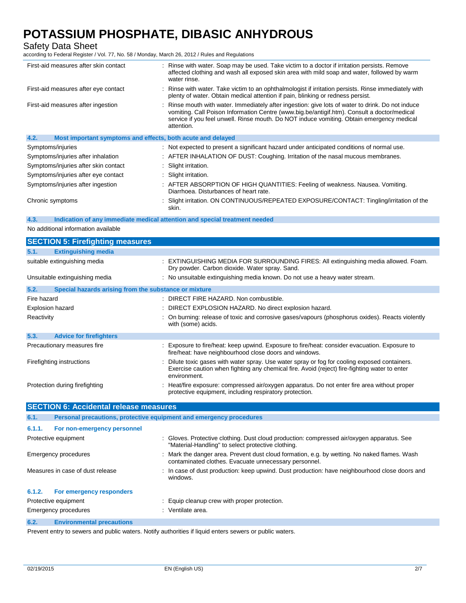Safety Data Sheet

according to Federal Register / Vol. 77, No. 58 / Monday, March 26, 2012 / Rules and Regulations

| First-aid measures after skin contact                               | : Rinse with water. Soap may be used. Take victim to a doctor if irritation persists. Remove<br>affected clothing and wash all exposed skin area with mild soap and water, followed by warm<br>water rinse.                                                                                                 |
|---------------------------------------------------------------------|-------------------------------------------------------------------------------------------------------------------------------------------------------------------------------------------------------------------------------------------------------------------------------------------------------------|
| First-aid measures after eye contact                                | : Rinse with water. Take victim to an ophthalmologist if irritation persists. Rinse immediately with<br>plenty of water. Obtain medical attention if pain, blinking or redness persist.                                                                                                                     |
| First-aid measures after ingestion                                  | : Rinse mouth with water. Immediately after ingestion: give lots of water to drink. Do not induce<br>vomiting. Call Poison Information Centre (www.big.be/antigif.htm). Consult a doctor/medical<br>service if you feel unwell. Rinse mouth. Do NOT induce vomiting. Obtain emergency medical<br>attention. |
| 4.2.<br>Most important symptoms and effects, both acute and delayed |                                                                                                                                                                                                                                                                                                             |
| Symptoms/injuries                                                   | : Not expected to present a significant hazard under anticipated conditions of normal use.                                                                                                                                                                                                                  |
| Symptoms/injuries after inhalation                                  | : AFTER INHALATION OF DUST: Coughing. Irritation of the nasal mucous membranes.                                                                                                                                                                                                                             |
| Symptoms/injuries after skin contact                                | : Slight irritation.                                                                                                                                                                                                                                                                                        |
| Symptoms/injuries after eye contact                                 | : Slight irritation.                                                                                                                                                                                                                                                                                        |
| Symptoms/injuries after ingestion                                   | : AFTER ABSORPTION OF HIGH QUANTITIES: Feeling of weakness. Nausea. Vomiting.<br>Diarrhoea. Disturbances of heart rate.                                                                                                                                                                                     |
| Chronic symptoms                                                    | : Slight irritation. ON CONTINUOUS/REPEATED EXPOSURE/CONTACT: Tingling/irritation of the<br>skin.                                                                                                                                                                                                           |

#### **4.3. Indication of any immediate medical attention and special treatment needed**

No additional information available

| <b>SECTION 5: Firefighting measures</b>                                     |                                                                                                                                                                                                              |
|-----------------------------------------------------------------------------|--------------------------------------------------------------------------------------------------------------------------------------------------------------------------------------------------------------|
| <b>Extinguishing media</b><br>5.1.                                          |                                                                                                                                                                                                              |
| suitable extinguishing media                                                | : EXTINGUISHING MEDIA FOR SURROUNDING FIRES: All extinguishing media allowed. Foam.<br>Dry powder. Carbon dioxide. Water spray. Sand.                                                                        |
| Unsuitable extinguishing media                                              | : No unsuitable extinguishing media known. Do not use a heavy water stream.                                                                                                                                  |
| Special hazards arising from the substance or mixture<br>5.2.               |                                                                                                                                                                                                              |
| Fire hazard                                                                 | : DIRECT FIRE HAZARD. Non combustible.                                                                                                                                                                       |
| <b>Explosion hazard</b>                                                     | DIRECT EXPLOSION HAZARD. No direct explosion hazard.                                                                                                                                                         |
| Reactivity                                                                  | : On burning: release of toxic and corrosive gases/vapours (phosphorus oxides). Reacts violently<br>with (some) acids.                                                                                       |
| 5.3.<br><b>Advice for firefighters</b>                                      |                                                                                                                                                                                                              |
| Precautionary measures fire                                                 | : Exposure to fire/heat: keep upwind. Exposure to fire/heat: consider evacuation. Exposure to<br>fire/heat: have neighbourhood close doors and windows.                                                      |
| Firefighting instructions                                                   | Dilute toxic gases with water spray. Use water spray or fog for cooling exposed containers.<br>Exercise caution when fighting any chemical fire. Avoid (reject) fire-fighting water to enter<br>environment. |
| Protection during firefighting                                              | Heat/fire exposure: compressed air/oxygen apparatus. Do not enter fire area without proper<br>protective equipment, including respiratory protection.                                                        |
|                                                                             |                                                                                                                                                                                                              |
| <b>SECTION 6: Accidental release measures</b>                               |                                                                                                                                                                                                              |
| 6.1.<br>Personal precautions, protective equipment and emergency procedures |                                                                                                                                                                                                              |
| 6.1.1.<br>For non-emergency personnel                                       |                                                                                                                                                                                                              |
| Protective equipment                                                        | : Gloves. Protective clothing. Dust cloud production: compressed air/oxygen apparatus. See<br>"Material-Handling" to select protective clothing.                                                             |
| <b>Emergency procedures</b>                                                 | : Mark the danger area. Prevent dust cloud formation, e.g. by wetting. No naked flames. Wash<br>contaminated clothes. Evacuate unnecessary personnel.                                                        |
| Measures in case of dust release                                            | : In case of dust production: keep upwind. Dust production: have neighbourhood close doors and<br>windows.                                                                                                   |
| For emergency responders<br>6.1.2.                                          |                                                                                                                                                                                                              |
| Protective equipment                                                        | Equip cleanup crew with proper protection.                                                                                                                                                                   |
| <b>Emergency procedures</b>                                                 | : Ventilate area.                                                                                                                                                                                            |

Prevent entry to sewers and public waters. Notify authorities if liquid enters sewers or public waters.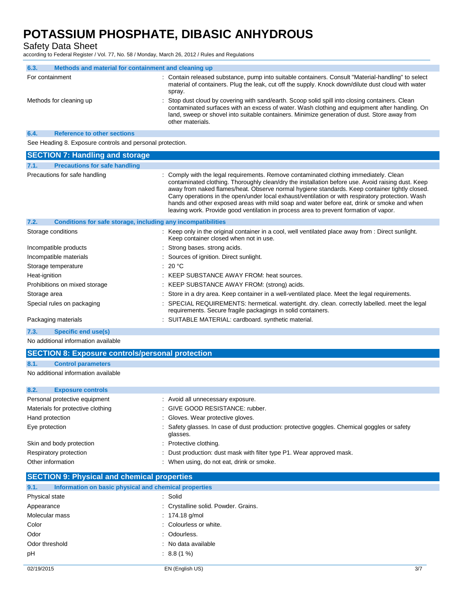Safety Data Sheet

according to Federal Register / Vol. 77, No. 58 / Monday, March 26, 2012 / Rules and Regulations

| 6.3.                                                      | Methods and material for containment and cleaning up |                                                                                                                                                                                                                                                                                                                      |
|-----------------------------------------------------------|------------------------------------------------------|----------------------------------------------------------------------------------------------------------------------------------------------------------------------------------------------------------------------------------------------------------------------------------------------------------------------|
| For containment                                           |                                                      | : Contain released substance, pump into suitable containers. Consult "Material-handling" to select<br>material of containers. Plug the leak, cut off the supply. Knock down/dilute dust cloud with water<br>spray.                                                                                                   |
|                                                           | Methods for cleaning up                              | : Stop dust cloud by covering with sand/earth. Scoop solid spill into closing containers. Clean<br>contaminated surfaces with an excess of water. Wash clothing and equipment after handling. On<br>land, sweep or shovel into suitable containers. Minimize generation of dust. Store away from<br>other materials. |
| 6.4.                                                      | <b>Reference to other sections</b>                   |                                                                                                                                                                                                                                                                                                                      |
| See Heading 8. Exposure controls and personal protection. |                                                      |                                                                                                                                                                                                                                                                                                                      |

| <b>SECTION 7: Handling and storage</b>                               |                                                                                                                                                                                                                                                                                                                                                                                                                                                                                                                                                                                         |
|----------------------------------------------------------------------|-----------------------------------------------------------------------------------------------------------------------------------------------------------------------------------------------------------------------------------------------------------------------------------------------------------------------------------------------------------------------------------------------------------------------------------------------------------------------------------------------------------------------------------------------------------------------------------------|
| 7.1.<br><b>Precautions for safe handling</b>                         |                                                                                                                                                                                                                                                                                                                                                                                                                                                                                                                                                                                         |
| Precautions for safe handling                                        | : Comply with the legal requirements. Remove contaminated clothing immediately. Clean<br>contaminated clothing. Thoroughly clean/dry the installation before use. Avoid raising dust. Keep<br>away from naked flames/heat. Observe normal hygiene standards. Keep container tightly closed.<br>Carry operations in the open/under local exhaust/ventilation or with respiratory protection. Wash<br>hands and other exposed areas with mild soap and water before eat, drink or smoke and when<br>leaving work. Provide good ventilation in process area to prevent formation of vapor. |
| 7.2.<br>Conditions for safe storage, including any incompatibilities |                                                                                                                                                                                                                                                                                                                                                                                                                                                                                                                                                                                         |
| Storage conditions                                                   | : Keep only in the original container in a cool, well ventilated place away from : Direct sunlight.<br>Keep container closed when not in use.                                                                                                                                                                                                                                                                                                                                                                                                                                           |
| Incompatible products                                                | : Strong bases, strong acids.                                                                                                                                                                                                                                                                                                                                                                                                                                                                                                                                                           |
| Incompatible materials                                               | : Sources of ignition. Direct sunlight.                                                                                                                                                                                                                                                                                                                                                                                                                                                                                                                                                 |
| Storage temperature                                                  | : 20 $^{\circ}$ C                                                                                                                                                                                                                                                                                                                                                                                                                                                                                                                                                                       |
| Heat-ignition                                                        | : KEEP SUBSTANCE AWAY FROM: heat sources.                                                                                                                                                                                                                                                                                                                                                                                                                                                                                                                                               |
| Prohibitions on mixed storage                                        | : KEEP SUBSTANCE AWAY FROM: (strong) acids.                                                                                                                                                                                                                                                                                                                                                                                                                                                                                                                                             |
| Storage area                                                         | : Store in a dry area. Keep container in a well-ventilated place. Meet the legal requirements.                                                                                                                                                                                                                                                                                                                                                                                                                                                                                          |
| Special rules on packaging                                           | : SPECIAL REQUIREMENTS: hermetical. watertight. dry. clean. correctly labelled. meet the legal<br>requirements. Secure fragile packagings in solid containers.                                                                                                                                                                                                                                                                                                                                                                                                                          |
| Packaging materials                                                  | : SUITABLE MATERIAL: cardboard. synthetic material.                                                                                                                                                                                                                                                                                                                                                                                                                                                                                                                                     |

### **7.3. Specific end use(s)**

No additional information available

## **SECTION 8: Exposure controls/personal protection**

### **8.1. Control parameters**

No additional information available

| 8.2.<br><b>Exposure controls</b>  |                                                                                                          |
|-----------------------------------|----------------------------------------------------------------------------------------------------------|
| Personal protective equipment     | : Avoid all unnecessary exposure.                                                                        |
| Materials for protective clothing | : GIVE GOOD RESISTANCE: rubber.                                                                          |
| Hand protection                   | : Gloves. Wear protective gloves.                                                                        |
| Eye protection                    | : Safety glasses. In case of dust production: protective goggles. Chemical goggles or safety<br>glasses. |
| Skin and body protection          | : Protective clothing.                                                                                   |
| Respiratory protection            | : Dust production: dust mask with filter type P1. Wear approved mask.                                    |
| Other information                 | : When using, do not eat, drink or smoke.                                                                |

### **SECTION 9: Physical and chemical properties**

| 9.1.           | Information on basic physical and chemical properties |                                      |     |
|----------------|-------------------------------------------------------|--------------------------------------|-----|
| Physical state |                                                       | : Solid                              |     |
| Appearance     |                                                       | : Crystalline solid. Powder. Grains. |     |
| Molecular mass |                                                       | : $174.18$ g/mol                     |     |
| Color          |                                                       | : Colourless or white.               |     |
| Odor           |                                                       | : Odourless.                         |     |
| Odor threshold |                                                       | : No data available                  |     |
| pH             |                                                       | $\therefore$ 8.8 (1 %)               |     |
|                |                                                       |                                      |     |
| 02/19/2015     |                                                       | EN (English US)                      | 3/7 |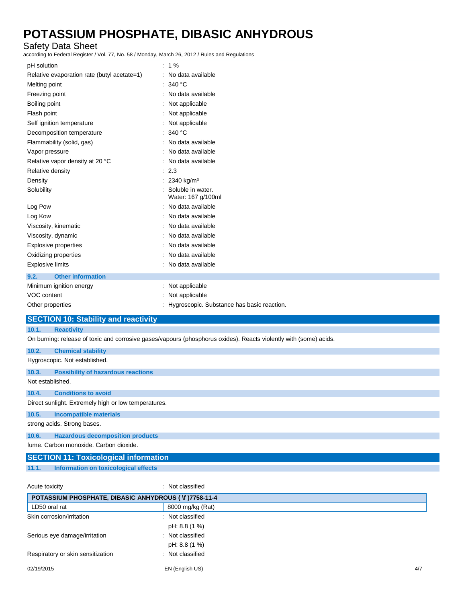Safety Data Sheet

according to Federal Register / Vol. 77, No. 58 / Monday, March 26, 2012 / Rules and Regulations

| pH solution                                          | $: 1\%$                                                                                                           |
|------------------------------------------------------|-------------------------------------------------------------------------------------------------------------------|
| Relative evaporation rate (butyl acetate=1)          | : No data available                                                                                               |
| Melting point                                        | 340 $^{\circ}$ C                                                                                                  |
| Freezing point                                       | No data available                                                                                                 |
| Boiling point                                        | Not applicable                                                                                                    |
| Flash point                                          | Not applicable                                                                                                    |
| Self ignition temperature                            | : Not applicable                                                                                                  |
| Decomposition temperature                            | : 340 °C                                                                                                          |
| Flammability (solid, gas)                            | : No data available                                                                                               |
| Vapor pressure                                       | No data available                                                                                                 |
| Relative vapor density at 20 °C                      | No data available                                                                                                 |
| Relative density                                     | : 2.3                                                                                                             |
| Density                                              | 2340 kg/m <sup>3</sup>                                                                                            |
| Solubility                                           | Soluble in water.<br>Water: 167 g/100ml                                                                           |
| Log Pow                                              | No data available                                                                                                 |
| Log Kow                                              | No data available                                                                                                 |
| Viscosity, kinematic                                 | No data available                                                                                                 |
| Viscosity, dynamic                                   | No data available                                                                                                 |
| <b>Explosive properties</b>                          | No data available                                                                                                 |
| Oxidizing properties                                 | No data available                                                                                                 |
| <b>Explosive limits</b>                              | : No data available                                                                                               |
| 9.2.<br><b>Other information</b>                     |                                                                                                                   |
| Minimum ignition energy                              | : Not applicable                                                                                                  |
| VOC content                                          | : Not applicable                                                                                                  |
| Other properties                                     | : Hygroscopic. Substance has basic reaction.                                                                      |
| <b>SECTION 10: Stability and reactivity</b>          |                                                                                                                   |
| 10.1.<br><b>Reactivity</b>                           |                                                                                                                   |
|                                                      | On burning: release of toxic and corrosive gases/vapours (phosphorus oxides). Reacts violently with (some) acids. |
| 10.2.<br><b>Chemical stability</b>                   |                                                                                                                   |
| Hygroscopic. Not established.                        |                                                                                                                   |
| 10.3.<br><b>Possibility of hazardous reactions</b>   |                                                                                                                   |
| Not established.                                     |                                                                                                                   |
| 10.4.<br><b>Conditions to avoid</b>                  |                                                                                                                   |
| Direct sunlight. Extremely high or low temperatures. |                                                                                                                   |
| 10.5.<br><b>Incompatible materials</b>               |                                                                                                                   |
| strong acids. Strong bases.                          |                                                                                                                   |
| <b>Hazardous decomposition products</b><br>10.6.     |                                                                                                                   |

fume. Carbon monoxide. Carbon dioxide.

|       | <b>SECTION 11: Toxicological information</b> |
|-------|----------------------------------------------|
| 11.1. | Information on toxicological effects         |

| Acute toxicity                                         | : Not classified |     |
|--------------------------------------------------------|------------------|-----|
| POTASSIUM PHOSPHATE, DIBASIC ANHYDROUS ( \f )7758-11-4 |                  |     |
| LD50 oral rat                                          | 8000 mg/kg (Rat) |     |
| Skin corrosion/irritation                              | : Not classified |     |
|                                                        | pH: 8.8 (1 %)    |     |
| Serious eye damage/irritation                          | : Not classified |     |
|                                                        | pH: 8.8 (1 %)    |     |
| Respiratory or skin sensitization                      | : Not classified |     |
| 02/19/2015                                             | EN (English US)  | 4/7 |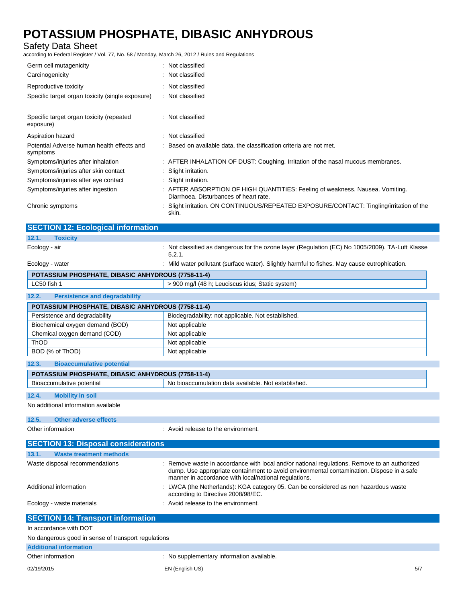Safety Data Sheet

according to Federal Register / Vol. 77, No. 58 / Monday, March 26, 2012 / Rules and Regulations

| Germ cell mutagenicity                                 | : Not classified                                                                                                        |
|--------------------------------------------------------|-------------------------------------------------------------------------------------------------------------------------|
| Carcinogenicity                                        | : Not classified                                                                                                        |
| Reproductive toxicity                                  | : Not classified                                                                                                        |
| Specific target organ toxicity (single exposure)       | : Not classified                                                                                                        |
| Specific target organ toxicity (repeated<br>exposure)  | : Not classified                                                                                                        |
| Aspiration hazard                                      | : Not classified                                                                                                        |
| Potential Adverse human health effects and<br>symptoms | : Based on available data, the classification criteria are not met.                                                     |
| Symptoms/injuries after inhalation                     | : AFTER INHALATION OF DUST: Coughing. Irritation of the nasal mucous membranes.                                         |
| Symptoms/injuries after skin contact                   | : Slight irritation.                                                                                                    |
| Symptoms/injuries after eye contact                    | : Slight irritation.                                                                                                    |
| Symptoms/injuries after ingestion                      | : AFTER ABSORPTION OF HIGH QUANTITIES: Feeling of weakness. Nausea. Vomiting.<br>Diarrhoea. Disturbances of heart rate. |
| Chronic symptoms                                       | : Slight irritation. ON CONTINUOUS/REPEATED EXPOSURE/CONTACT: Tingling/irritation of the<br>skin.                       |

| <b>SECTION 12: Ecological information</b>          |                                                                                                                                                                                                                                                  |
|----------------------------------------------------|--------------------------------------------------------------------------------------------------------------------------------------------------------------------------------------------------------------------------------------------------|
| 12.1.<br><b>Toxicity</b>                           |                                                                                                                                                                                                                                                  |
| Ecology - air                                      | : Not classified as dangerous for the ozone layer (Regulation (EC) No 1005/2009). TA-Luft Klasse<br>5.2.1.                                                                                                                                       |
| Ecology - water                                    | : Mild water pollutant (surface water). Slightly harmful to fishes. May cause eutrophication.                                                                                                                                                    |
| POTASSIUM PHOSPHATE, DIBASIC ANHYDROUS (7758-11-4) |                                                                                                                                                                                                                                                  |
| LC50 fish 1                                        | > 900 mg/l (48 h; Leuciscus idus; Static system)                                                                                                                                                                                                 |
| 12.2.<br><b>Persistence and degradability</b>      |                                                                                                                                                                                                                                                  |
| POTASSIUM PHOSPHATE, DIBASIC ANHYDROUS (7758-11-4) |                                                                                                                                                                                                                                                  |
| Persistence and degradability                      | Biodegradability: not applicable. Not established.                                                                                                                                                                                               |
| Biochemical oxygen demand (BOD)                    | Not applicable                                                                                                                                                                                                                                   |
| Chemical oxygen demand (COD)                       | Not applicable                                                                                                                                                                                                                                   |
| ThOD                                               | Not applicable                                                                                                                                                                                                                                   |
| BOD (% of ThOD)                                    | Not applicable                                                                                                                                                                                                                                   |
| 12.3.<br><b>Bioaccumulative potential</b>          |                                                                                                                                                                                                                                                  |
| POTASSIUM PHOSPHATE, DIBASIC ANHYDROUS (7758-11-4) |                                                                                                                                                                                                                                                  |
| Bioaccumulative potential                          | No bioaccumulation data available. Not established.                                                                                                                                                                                              |
| <b>Mobility in soil</b><br>12.4.                   |                                                                                                                                                                                                                                                  |
| No additional information available                |                                                                                                                                                                                                                                                  |
| 12.5.<br><b>Other adverse effects</b>              |                                                                                                                                                                                                                                                  |
| Other information                                  | : Avoid release to the environment.                                                                                                                                                                                                              |
| <b>SECTION 13: Disposal considerations</b>         |                                                                                                                                                                                                                                                  |
| 13.1.<br><b>Waste treatment methods</b>            |                                                                                                                                                                                                                                                  |
| Waste disposal recommendations                     | Remove waste in accordance with local and/or national regulations. Remove to an authorized<br>dump. Use appropriate containment to avoid environmental contamination. Dispose in a safe<br>manner in accordance with local/national requlations. |

|                           | manner in accordance with local/national regulations.                                                                     |
|---------------------------|---------------------------------------------------------------------------------------------------------------------------|
| Additional information    | : LWCA (the Netherlands): KGA category 05. Can be considered as non hazardous waste<br>according to Directive 2008/98/EC. |
| Ecology - waste materials | : Avoid release to the environment.                                                                                       |

| <b>SECTION 14: Transport information</b>            |                                           |  |
|-----------------------------------------------------|-------------------------------------------|--|
| In accordance with DOT                              |                                           |  |
| No dangerous good in sense of transport regulations |                                           |  |
| <b>Additional information</b>                       |                                           |  |
| Other information                                   | : No supplementary information available. |  |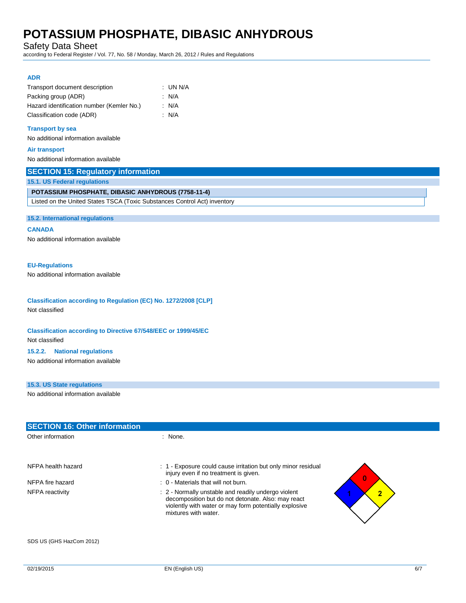Safety Data Sheet

according to Federal Register / Vol. 77, No. 58 / Monday, March 26, 2012 / Rules and Regulations

### **ADR**

| Transport document description            | : UN N/A |
|-------------------------------------------|----------|
| Packing group (ADR)                       | : N/A    |
| Hazard identification number (Kemler No.) | : N/A    |
| Classification code (ADR)                 | : N/A    |

#### **Transport by sea**

No additional information available

#### **Air transport**

No additional information available

| 15.1. US Federal regulations                                              |  |
|---------------------------------------------------------------------------|--|
| <b>POTASSIUM PHOSPHATE, DIBASIC ANHYDROUS (7758-11-4)</b>                 |  |
| Listed on the United States TSCA (Toxic Substances Control Act) inventory |  |

#### **15.2. International regulations**

#### **CANADA**

No additional information available

#### **EU-Regulations**

No additional information available

## **Classification according to Regulation (EC) No. 1272/2008 [CLP]**

Not classified

### **Classification according to Directive 67/548/EEC or 1999/45/EC** Not classified

#### **15.2.2. National regulations**

No additional information available

### **15.3. US State regulations**

No additional information available

| <b>SECTION 16: Other information</b> |                                                                                                                                                                                                               |
|--------------------------------------|---------------------------------------------------------------------------------------------------------------------------------------------------------------------------------------------------------------|
| Other information                    | : None.                                                                                                                                                                                                       |
|                                      |                                                                                                                                                                                                               |
| NFPA health hazard                   | : 1 Exposure could cause irritation but only minor residual<br>injury even if no treatment is given.<br>$\overline{0}$                                                                                        |
| NFPA fire hazard                     | $\therefore$ 0 - Materials that will not burn.                                                                                                                                                                |
| NFPA reactivity                      | : 2 - Normally unstable and readily undergo violent<br>$\overline{2}$<br>decomposition but do not detonate. Also: may react<br>violently with water or may form potentially explosive<br>mixtures with water. |
|                                      |                                                                                                                                                                                                               |

SDS US (GHS HazCom 2012)